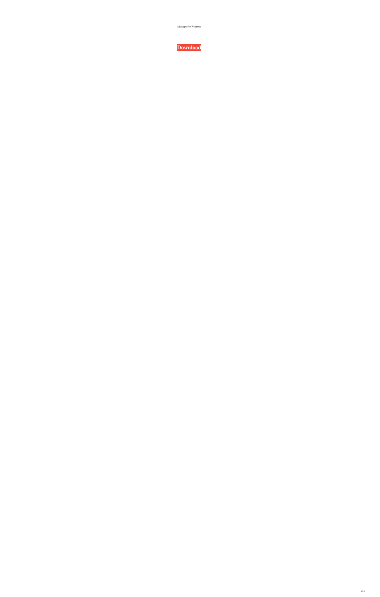Diskcopy For Windows

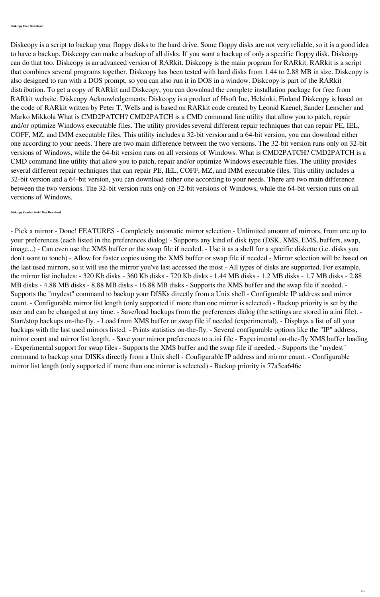## **Diskcopy Free Download**

Diskcopy is a script to backup your floppy disks to the hard drive. Some floppy disks are not very reliable, so it is a good idea to have a backup. Diskcopy can make a backup of all disks. If you want a backup of only a specific floppy disk, Diskcopy can do that too. Diskcopy is an advanced version of RARkit. Diskcopy is the main program for RARkit. RARkit is a script that combines several programs together. Diskcopy has been tested with hard disks from 1.44 to 2.88 MB in size. Diskcopy is also designed to run with a DOS prompt, so you can also run it in DOS in a window. Diskcopy is part of the RARkit distribution. To get a copy of RARkit and Diskcopy, you can download the complete installation package for free from RARkit website. Diskcopy Acknowledgements: Diskcopy is a product of Hsoft Inc, Helsinki, Finland Diskcopy is based on the code of RARkit written by Peter T. Wells and is based on RARkit code created by Leonid Kaenel, Sander Lenscher and Marko Mikkola What is CMD2PATCH? CMD2PATCH is a CMD command line utility that allow you to patch, repair and/or optimize Windows executable files. The utility provides several different repair techniques that can repair PE, IEL, COFF, MZ, and IMM executable files. This utility includes a 32-bit version and a 64-bit version, you can download either one according to your needs. There are two main difference between the two versions. The 32-bit version runs only on 32-bit versions of Windows, while the 64-bit version runs on all versions of Windows. What is CMD2PATCH? CMD2PATCH is a CMD command line utility that allow you to patch, repair and/or optimize Windows executable files. The utility provides several different repair techniques that can repair PE, IEL, COFF, MZ, and IMM executable files. This utility includes a 32-bit version and a 64-bit version, you can download either one according to your needs. There are two main difference between the two versions. The 32-bit version runs only on 32-bit versions of Windows, while the 64-bit version runs on all versions of Windows.

- Pick a mirror - Done! FEATURES - Completely automatic mirror selection - Unlimited amount of mirrors, from one up to your preferences (each listed in the preferences dialog) - Supports any kind of disk type (DSK, XMS, EMS, buffers, swap, image...) - Can even use the XMS buffer or the swap file if needed. - Use it as a shell for a specific diskette (i.e. disks you don't want to touch) - Allow for faster copies using the XMS buffer or swap file if needed - Mirror selection will be based on the last used mirrors, so it will use the mirror you've last accessed the most - All types of disks are supported. For example, the mirror list includes: - 320 Kb disks - 360 Kb disks - 720 Kb disks - 1.44 MB disks - 1.2 MB disks - 1.7 MB disks - 2.88 MB disks - 4.88 MB disks - 8.88 MB disks - 16.88 MB disks - Supports the XMS buffer and the swap file if needed. - Supports the "mydest" command to backup your DISKs directly from a Unix shell - Configurable IP address and mirror count. - Configurable mirror list length (only supported if more than one mirror is selected) - Backup priority is set by the user and can be changed at any time. - Save/load backups from the preferences dialog (the settings are stored in a.ini file). - Start/stop backups on-the-fly. - Load from XMS buffer or swap file if needed (experimental). - Displays a list of all your backups with the last used mirrors listed. - Prints statistics on-the-fly. - Several configurable options like the "IP" address, mirror count and mirror list length. - Save your mirror preferences to a.ini file - Experimental on-the-fly XMS buffer loading - Experimental support for swap files - Supports the XMS buffer and the swap file if needed. - Supports the "mydest" command to backup your DISKs directly from a Unix shell - Configurable IP address and mirror count. - Configurable mirror list length (only supported if more than one mirror is selected) - Backup priority is 77a5ca646e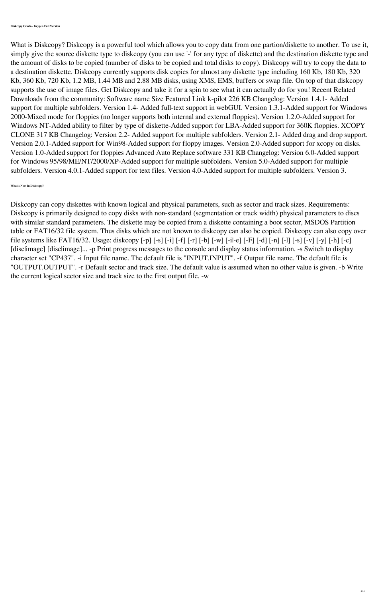What is Diskcopy? Diskcopy is a powerful tool which allows you to copy data from one partion/diskette to another. To use it, simply give the source diskette type to diskcopy (you can use '-' for any type of diskette) and the destination diskette type and the amount of disks to be copied (number of disks to be copied and total disks to copy). Diskcopy will try to copy the data to a destination diskette. Diskcopy currently supports disk copies for almost any diskette type including 160 Kb, 180 Kb, 320 Kb, 360 Kb, 720 Kb, 1.2 MB, 1.44 MB and 2.88 MB disks, using XMS, EMS, buffers or swap file. On top of that diskcopy supports the use of image files. Get Diskcopy and take it for a spin to see what it can actually do for you! Recent Related Downloads from the community: Software name Size Featured Link k-pilot 226 KB Changelog: Version 1.4.1- Added support for multiple subfolders. Version 1.4- Added full-text support in webGUI. Version 1.3.1-Added support for Windows 2000-Mixed mode for floppies (no longer supports both internal and external floppies). Version 1.2.0-Added support for Windows NT-Added ability to filter by type of diskette-Added support for LBA-Added support for 360K floppies. XCOPY CLONE 317 KB Changelog: Version 2.2- Added support for multiple subfolders. Version 2.1- Added drag and drop support. Version 2.0.1-Added support for Win98-Added support for floppy images. Version 2.0-Added support for xcopy on disks. Version 1.0-Added support for floppies Advanced Auto Replace software 331 KB Changelog: Version 6.0-Added support for Windows 95/98/ME/NT/2000/XP-Added support for multiple subfolders. Version 5.0-Added support for multiple subfolders. Version 4.0.1-Added support for text files. Version 4.0-Added support for multiple subfolders. Version 3.

**What's New In Diskcopy?**

Diskcopy can copy diskettes with known logical and physical parameters, such as sector and track sizes. Requirements: Diskcopy is primarily designed to copy disks with non-standard (segmentation or track width) physical parameters to discs with similar standard parameters. The diskette may be copied from a diskette containing a boot sector, MSDOS Partition table or FAT16/32 file system. Thus disks which are not known to diskcopy can also be copied. Diskcopy can also copy over file systems like FAT16/32. Usage: diskcopy [-p] [-s] [-i] [-f] [-r] [-b] [-w] [-i|-e] [-F] [-d] [-n] [-l] [-s] [-v] [-y] [-h] [-c] [disclimage] [disclimage]... -p Print progress messages to the console and display status information. -s Switch to display character set "CP437". -i Input file name. The default file is "INPUT.INPUT". -f Output file name. The default file is "OUTPUT.OUTPUT". -r Default sector and track size. The default value is assumed when no other value is given. -b Write the current logical sector size and track size to the first output file. -w